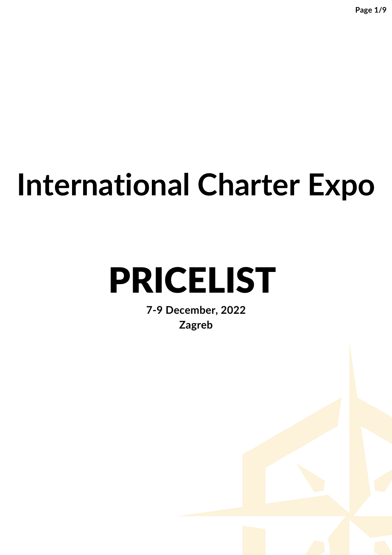# **International Charter Expo**

# PRICELIST

**7-9 December, 2022 Zagreb**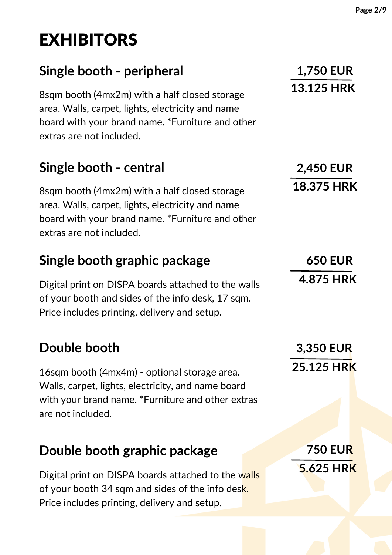# EXHIBITORS

### **Single booth - peripheral**

8sqm booth (4mx2m) with a half closed storage area. Walls, carpet, lights, electricity and name board with your brand name. \*Furniture and other extras are not included.

#### **Single booth - central**

8sqm booth (4mx2m) with a half closed storage area. Walls, carpet, lights, electricity and name board with your brand name. \*Furniture and other extras are not included.

#### **Single booth graphic package**

Digital print on DISPA boards attached to the walls of your booth and sides of the info desk, 17 sqm. Price includes printing, delivery and setup.

#### **Double booth**

16sqm booth (4mx4m) - optional storage area. Walls, carpet, lights, electricity, and name board with your brand name. \*Furniture and other extras are not included.

#### **Double booth graphic package**

Digital print on DISPA boards attached to the walls of your booth 34 sqm and sides of the info desk. Price includes printing, delivery and setup.

**1,750 EUR 13.125 HRK**

**2,450 EUR 18.375 HRK**

**650 EUR 4.875 HRK**

**3,350 EUR 25.125 HRK**

**750 EUR 5.625 HRK**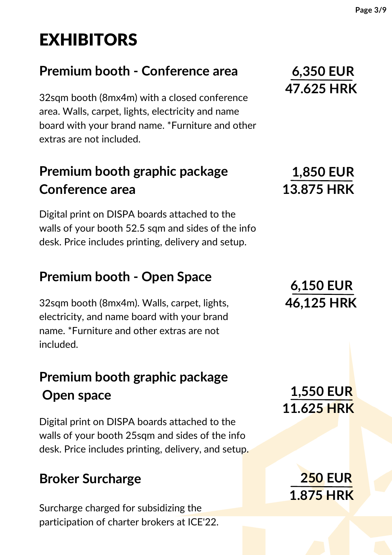# EXHIBITORS

#### **Premium booth - Conference area**

32sqm booth (8mx4m) with a closed conference area. Walls, carpet, lights, electricity and name board with your brand name. \*Furniture and other extras are not included.

#### **Premium booth graphic package Conference area**

Digital print on DISPA boards attached to the walls of your booth 52.5 sqm and sides of the info desk. Price includes printing, delivery and setup.

#### **Premium booth - Open Space**

32sqm booth (8mx4m). Walls, carpet, lights, electricity, and name board with your brand name. \*Furniture and other extras are not included.

### **Premium booth graphic package Open space**

Digital print on DISPA boards attached to the walls of your booth 25sqm and sides of the info desk. Price includes printing, delivery, and setup.

#### **Broker Surcharge**

Surcharge charged for subsidizing the participation of charter brokers at ICE'22.

## **6,150 EUR 46,125 HRK**

**1,550 EUR 11.625 HRK**

**250 EUR**

**1.875 HRK**

#### **6,350 EUR 47.625 HRK**

**1,850 EUR 13.875 HRK**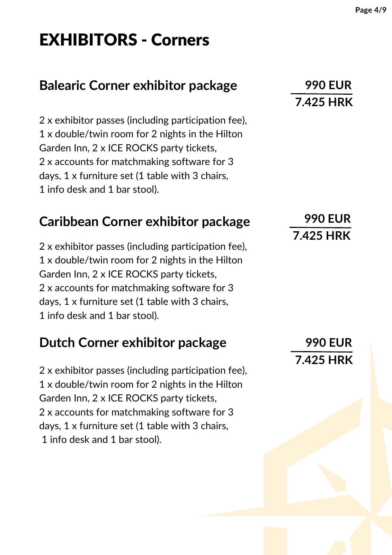## EXHIBITORS - Corners

#### **Balearic Corner exhibitor package**

 x exhibitor passes (including participation fee), x double/twin room for 2 nights in the Hilton Garden Inn, 2 x ICE ROCKS party tickets, x accounts for matchmaking software for 3 days, 1 x furniture set (1 table with 3 chairs, info desk and 1 bar stool).

#### **Caribbean Corner exhibitor package**

 x exhibitor passes (including participation fee), x double/twin room for 2 nights in the Hilton Garden Inn, 2 x ICE ROCKS party tickets, x accounts for matchmaking software for 3 days, 1 x furniture set (1 table with 3 chairs, info desk and 1 bar stool).

#### **Dutch Corner exhibitor package**

 x exhibitor passes (including participation fee), x double/twin room for 2 nights in the Hilton Garden Inn, 2 x ICE ROCKS party tickets, x accounts for matchmaking software for 3 days, 1 x furniture set (1 table with 3 chairs, info desk and 1 bar stool).

#### **990 EUR 7.425 HRK**

#### **990 EUR 7.425 HRK**

**990 EUR 7.425 HRK**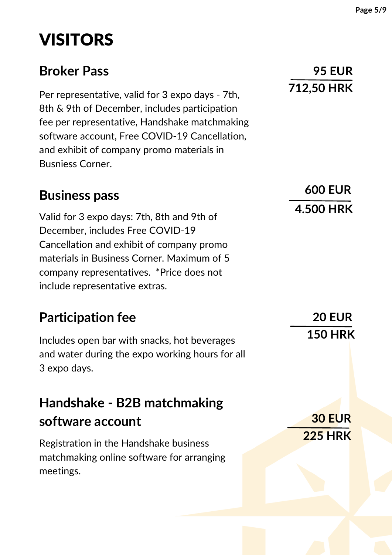## VISITORS

#### **Broker Pass**

Per representative, valid for 3 expo days - 7th, 8th & 9th of December, includes participation fee per representative, Handshake matchmaking software account, Free COVID-19 Cancellation, and exhibit of company promo materials in Busniess Corner.

#### **Business pass**

Valid for 3 expo days: 7th, 8th and 9th of December, includes Free COVID-19 Cancellation and exhibit of company promo materials in Business Corner. Maximum of 5 company representatives. \*Price does not include representative extras.

#### **Participation fee**

Includes open bar with snacks, hot beverages and water during the expo working hours for all 3 expo days.

## **Handshake - B2B matchmaking software account**

Registration in the Handshake business matchmaking online software for arranging meetings.

**600 EUR 4.500 HRK**

> **20 EUR 150 HRK**

**30 EUR 225 HRK**

#### **95 EUR 712,50 HRK**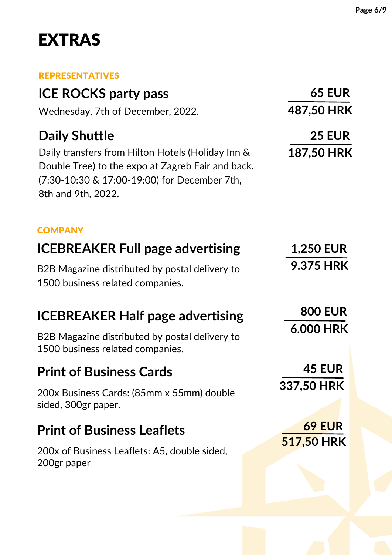## EXTRAS

#### **EDDECENTATIVES**

| <u>KEPKESEN I A HVES</u>                                                                                                                                                     |                   |
|------------------------------------------------------------------------------------------------------------------------------------------------------------------------------|-------------------|
| <b>ICE ROCKS party pass</b>                                                                                                                                                  | <b>65 EUR</b>     |
| Wednesday, 7th of December, 2022.                                                                                                                                            | 487,50 HRK        |
| <b>Daily Shuttle</b>                                                                                                                                                         | <b>25 EUR</b>     |
| Daily transfers from Hilton Hotels (Holiday Inn &<br>Double Tree) to the expo at Zagreb Fair and back.<br>(7:30-10:30 & 17:00-19:00) for December 7th,<br>8th and 9th, 2022. | <b>187,50 HRK</b> |
| <b>COMPANY</b>                                                                                                                                                               |                   |
| <b>ICEBREAKER Full page advertising</b>                                                                                                                                      | <b>1,250 EUR</b>  |
| B2B Magazine distributed by postal delivery to<br>1500 business related companies.                                                                                           | <b>9.375 HRK</b>  |
| <b>ICEBREAKER Half page advertising</b>                                                                                                                                      | <b>800 EUR</b>    |
| B2B Magazine distributed by postal delivery to<br>1500 business related companies.                                                                                           | <b>6.000 HRK</b>  |
| <b>Print of Business Cards</b>                                                                                                                                               | <b>45 EUR</b>     |
| 200x Business Cards: (85mm x 55mm) double<br>sided, 300gr paper.                                                                                                             | 337,50 HRK        |
| <b>Print of Business Leaflets</b>                                                                                                                                            | <b>69 EUR</b>     |
| 200x of Business Leaflets: A5, double sided,<br>200gr paper                                                                                                                  | 517,50 HRK        |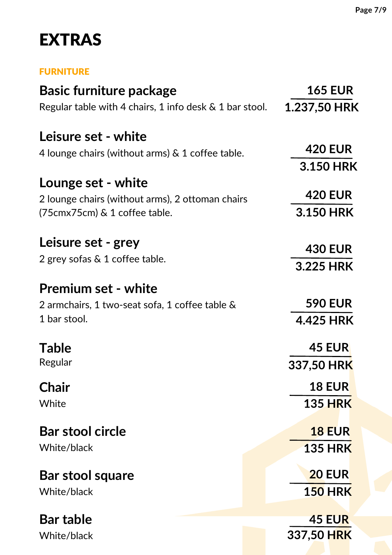## EXTRAS

#### FURNITURE

| <b>Basic furniture package</b>                             | <b>165 EUR</b> |
|------------------------------------------------------------|----------------|
| Regular table with 4 chairs, 1 info desk $\&$ 1 bar stool. | 1.237,50 HRK   |
| Leisure set - white                                        |                |
| 4 lounge chairs (without arms) $\&$ 1 coffee table.        | <b>420 EUR</b> |
|                                                            | 3.150 HRK      |
| Lounge set - white                                         |                |
| 2 lounge chairs (without arms), 2 ottoman chairs           | <b>420 EUR</b> |
| (75cmx75cm) & 1 coffee table.                              | 3.150 HRK      |
| Leisure set - grey                                         | <b>430 EUR</b> |
| 2 grey sofas & 1 coffee table.                             | 3.225 HRK      |
|                                                            |                |
| <b>Premium set - white</b>                                 |                |
| 2 armchairs, 1 two-seat sofa, 1 coffee table &             | <b>590 EUR</b> |
| 1 bar stool.                                               | 4.425 HRK      |
| <b>Table</b>                                               | <b>45 EUR</b>  |
| Regular                                                    | 337,50 HRK     |
| <b>Chair</b>                                               | <b>18 EUR</b>  |
| White                                                      | <b>135 HRK</b> |
| <b>Bar stool circle</b>                                    | <b>18 EUR</b>  |
| White/black                                                | <b>135 HRK</b> |
|                                                            | <b>20 EUR</b>  |
| <b>Bar stool square</b>                                    |                |
| White/black                                                | <b>150 HRK</b> |
| <b>Bar table</b>                                           | <b>45 EUR</b>  |
| White/black                                                | 337,50 HRK     |
|                                                            |                |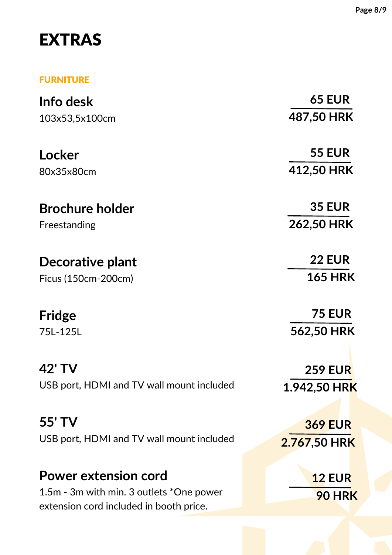## EXTRAS

#### FURNITURE

| Info desk                                 | <b>65 EUR</b>              |
|-------------------------------------------|----------------------------|
| 103x53,5x100cm                            | 487,50 HRK                 |
| Locker                                    | <b>55 EUR</b>              |
| 80x35x80cm                                | 412,50 HRK                 |
| <b>Brochure holder</b>                    | <b>35 EUR</b>              |
| Freestanding                              | 262,50 HRK                 |
| Decorative plant                          | <b>22 EUR</b>              |
| Ficus (150cm-200cm)                       | <b>165 HRK</b>             |
| <b>Fridge</b>                             | <b>75 EUR</b>              |
| 75L-125L                                  | 562,50 HRK                 |
| 42' TV                                    | <b>259 EUR</b>             |
| USB port, HDMI and TV wall mount included | 1.942,50 HR <mark>K</mark> |
| 55' TV                                    | <b>369 EUR</b>             |
| USB port, HDMI and TV wall mount included | 2.767,50 HRK               |
| <b>Power extension cord</b>               | <b>12 EUR</b>              |
| 1.5m - 3m with min. 3 outlets *One power  |                            |
| extension cord included in booth price.   | <b>90 HRK</b>              |